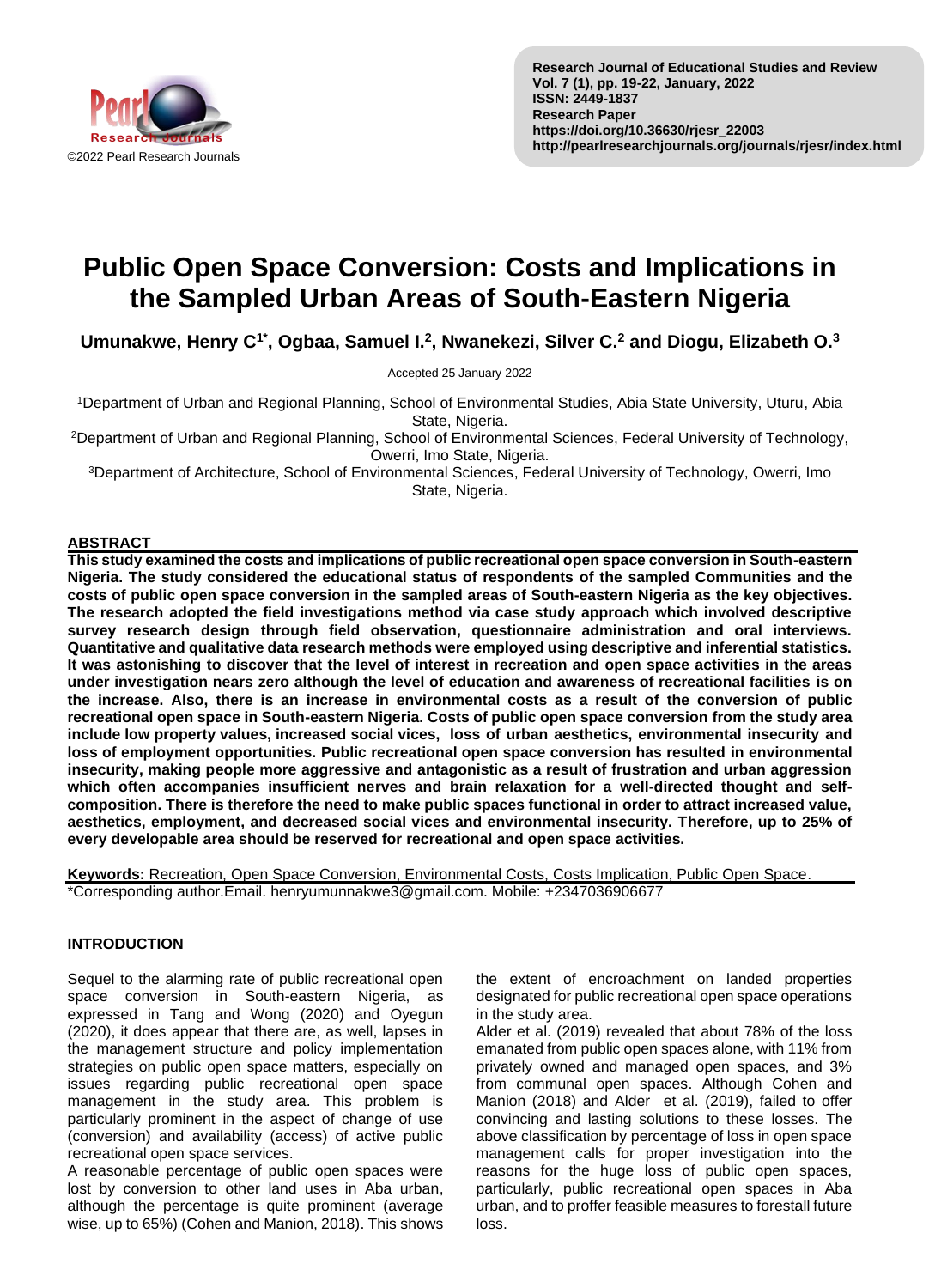

# **Public Open Space Conversion: Costs and Implications in the Sampled Urban Areas of South-Eastern Nigeria**

**Umunakwe, Henry C1\* , Ogbaa, Samuel I.<sup>2</sup> , Nwanekezi, Silver C.<sup>2</sup> and Diogu, Elizabeth O.<sup>3</sup>**

Accepted 25 January 2022

<sup>1</sup>Department of Urban and Regional Planning, School of Environmental Studies, Abia State University, Uturu, Abia State, Nigeria.

<sup>2</sup>Department of Urban and Regional Planning, School of Environmental Sciences, Federal University of Technology, Owerri, Imo State, Nigeria.

<sup>3</sup>Department of Architecture, School of Environmental Sciences, Federal University of Technology, Owerri, Imo State, Nigeria.

## **ABSTRACT**

**This study examined the costs and implications of public recreational open space conversion in South-eastern Nigeria. The study considered the educational status of respondents of the sampled Communities and the costs of public open space conversion in the sampled areas of South-eastern Nigeria as the key objectives. The research adopted the field investigations method via case study approach which involved descriptive survey research design through field observation, questionnaire administration and oral interviews. Quantitative and qualitative data research methods were employed using descriptive and inferential statistics. It was astonishing to discover that the level of interest in recreation and open space activities in the areas under investigation nears zero although the level of education and awareness of recreational facilities is on the increase. Also, there is an increase in environmental costs as a result of the conversion of public recreational open space in South-eastern Nigeria. Costs of public open space conversion from the study area include low property values, increased social vices, loss of urban aesthetics, environmental insecurity and loss of employment opportunities. Public recreational open space conversion has resulted in environmental insecurity, making people more aggressive and antagonistic as a result of frustration and urban aggression**  which often accompanies insufficient nerves and brain relaxation for a well-directed thought and self**composition. There is therefore the need to make public spaces functional in order to attract increased value, aesthetics, employment, and decreased social vices and environmental insecurity. Therefore, up to 25% of every developable area should be reserved for recreational and open space activities.**

**Keywords:** Recreation, Open Space Conversion, Environmental Costs, Costs Implication, Public Open Space. \*Corresponding author.Email. henryumunnakwe3@gmail.com. Mobile: +2347036906677

# **INTRODUCTION**

Sequel to the alarming rate of public recreational open space conversion in South-eastern Nigeria, as expressed in Tang and Wong (2020) and Oyegun (2020), it does appear that there are, as well, lapses in the management structure and policy implementation strategies on public open space matters, especially on issues regarding public recreational open space management in the study area. This problem is particularly prominent in the aspect of change of use (conversion) and availability (access) of active public recreational open space services.

A reasonable percentage of public open spaces were lost by conversion to other land uses in Aba urban, although the percentage is quite prominent (average wise, up to 65%) (Cohen and Manion, 2018). This shows the extent of encroachment on landed properties designated for public recreational open space operations in the study area.

Alder et al. (2019) revealed that about 78% of the loss emanated from public open spaces alone, with 11% from privately owned and managed open spaces, and 3% from communal open spaces. Although Cohen and Manion (2018) and Alder et al. (2019), failed to offer convincing and lasting solutions to these losses. The above classification by percentage of loss in open space management calls for proper investigation into the reasons for the huge loss of public open spaces, particularly, public recreational open spaces in Aba urban, and to proffer feasible measures to forestall future loss.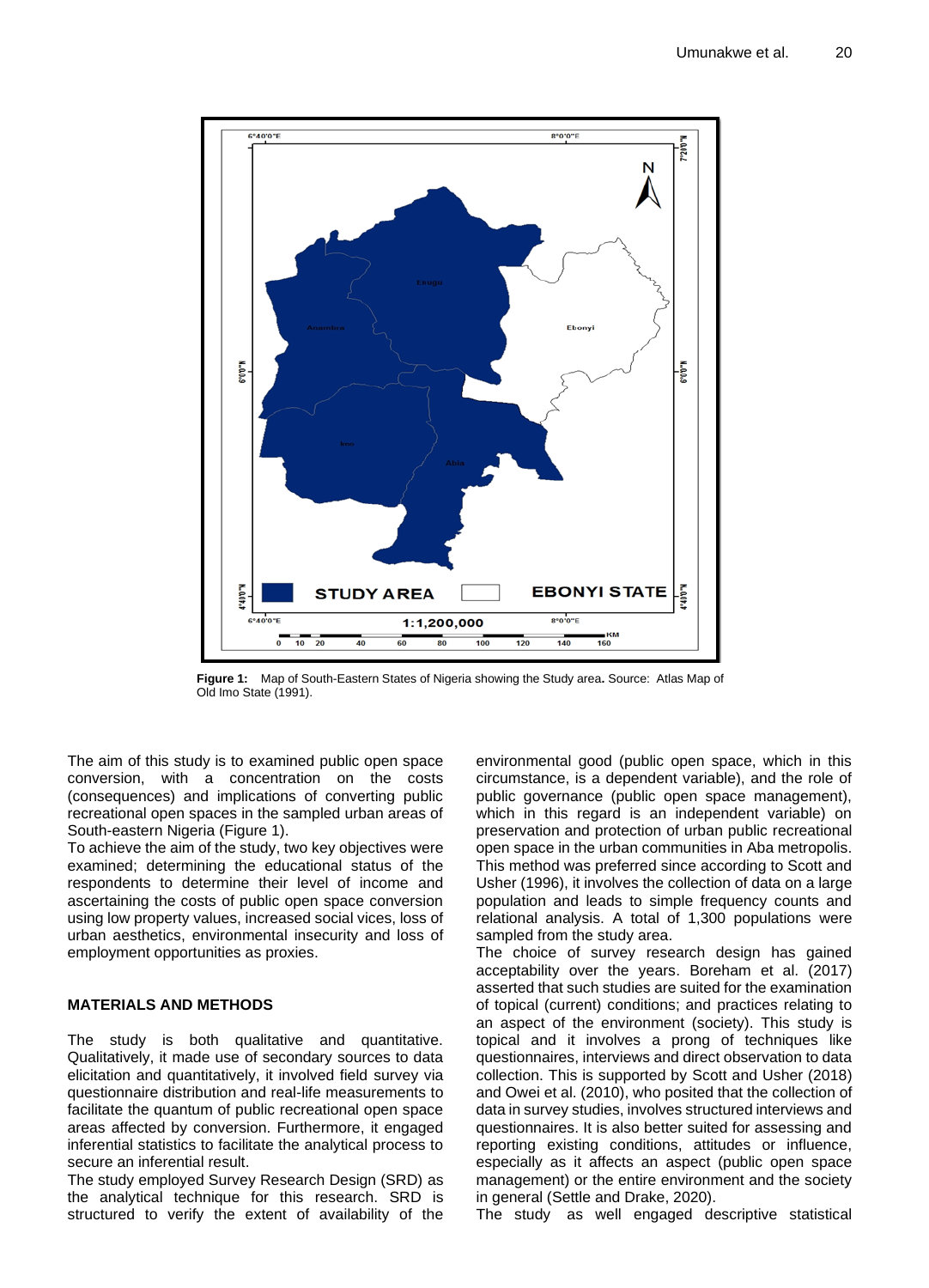

**Figure 1:** Map of South-Eastern States of Nigeria showing the Study area**.** Source: Atlas Map of Old Imo State (1991).

The aim of this study is to examined public open space conversion, with a concentration on the costs (consequences) and implications of converting public recreational open spaces in the sampled urban areas of South-eastern Nigeria (Figure 1).

To achieve the aim of the study, two key objectives were examined; determining the educational status of the respondents to determine their level of income and ascertaining the costs of public open space conversion using low property values, increased social vices, loss of urban aesthetics, environmental insecurity and loss of employment opportunities as proxies.

## **MATERIALS AND METHODS**

The study is both qualitative and quantitative. Qualitatively, it made use of secondary sources to data elicitation and quantitatively, it involved field survey via questionnaire distribution and real-life measurements to facilitate the quantum of public recreational open space areas affected by conversion. Furthermore, it engaged inferential statistics to facilitate the analytical process to secure an inferential result.

The study employed Survey Research Design (SRD) as the analytical technique for this research. SRD is structured to verify the extent of availability of the

environmental good (public open space, which in this circumstance, is a dependent variable), and the role of public governance (public open space management), which in this regard is an independent variable) on preservation and protection of urban public recreational open space in the urban communities in Aba metropolis. This method was preferred since according to Scott and Usher (1996), it involves the collection of data on a large population and leads to simple frequency counts and relational analysis. A total of 1,300 populations were sampled from the study area.

The choice of survey research design has gained acceptability over the years. Boreham et al. (2017) asserted that such studies are suited for the examination of topical (current) conditions; and practices relating to an aspect of the environment (society). This study is topical and it involves a prong of techniques like questionnaires, interviews and direct observation to data collection. This is supported by Scott and Usher (2018) and Owei et al. (2010), who posited that the collection of data in survey studies, involves structured interviews and questionnaires. It is also better suited for assessing and reporting existing conditions, attitudes or influence, especially as it affects an aspect (public open space management) or the entire environment and the society in general (Settle and Drake, 2020).

The study as well engaged descriptive statistical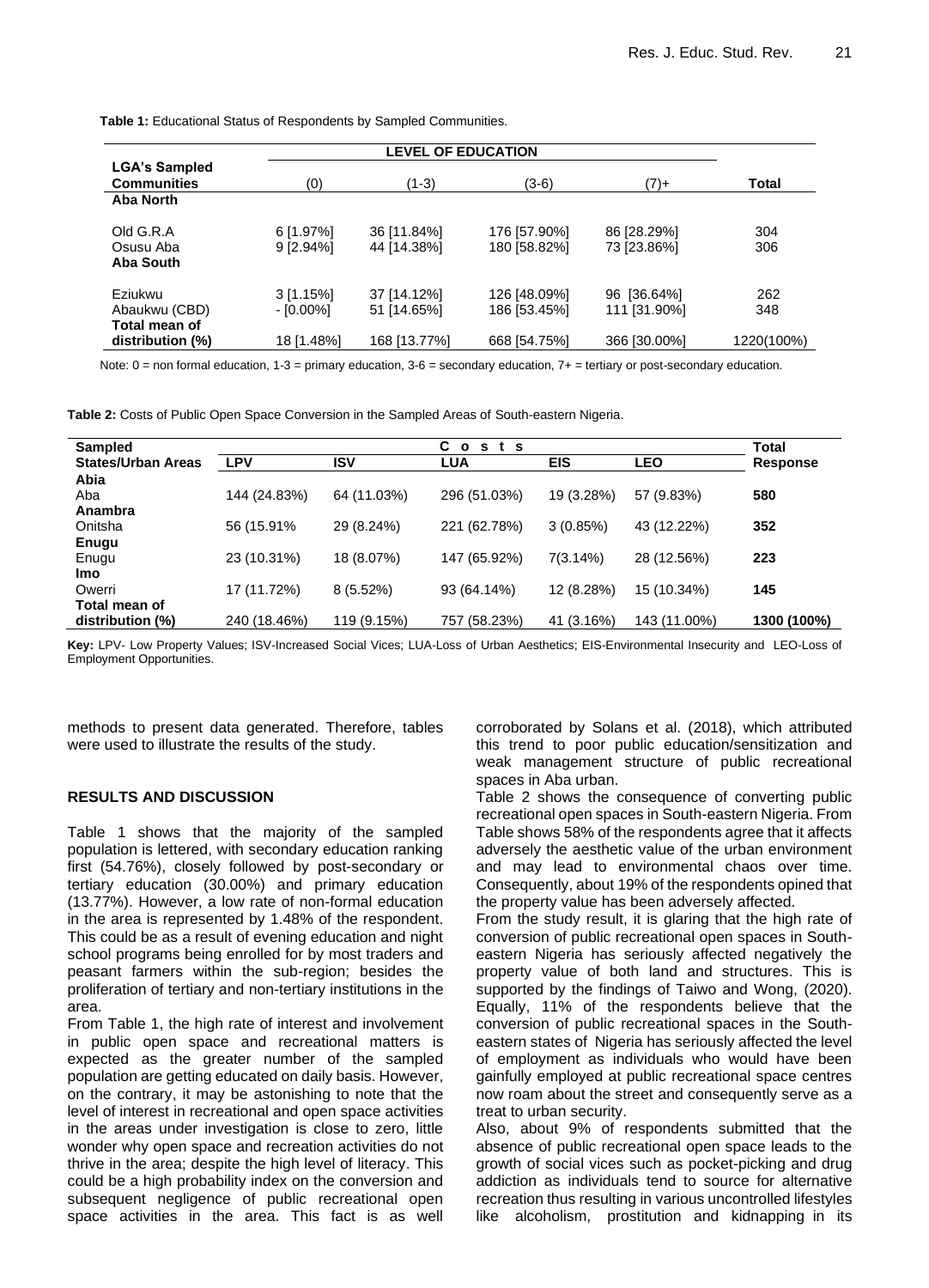**Table 1:** Educational Status of Respondents by Sampled Communities.

|                                                               | <b>LEVEL OF EDUCATION</b>              |                                            |                                              |                                             |                          |  |  |  |
|---------------------------------------------------------------|----------------------------------------|--------------------------------------------|----------------------------------------------|---------------------------------------------|--------------------------|--|--|--|
| <b>LGA's Sampled</b><br><b>Communities</b>                    | (0)                                    | (1-3)<br>(3-6)                             |                                              | $(7)+$                                      | <b>Total</b>             |  |  |  |
| Aba North                                                     |                                        |                                            |                                              |                                             |                          |  |  |  |
| Old G.R.A<br>Osusu Aba<br>Aba South                           | $6$ [1.97%]<br>$9$ [2.94%]             | 36 [11.84%]<br>44 [14.38%]                 | 176 [57.90%]<br>180 [58.82%]                 | 86 [28.29%]<br>73 [23.86%]                  | 304<br>306               |  |  |  |
| Eziukwu<br>Abaukwu (CBD)<br>Total mean of<br>distribution (%) | $3$ [1.15%]<br>- [0.00%]<br>18 [1.48%] | 37 [14.12%]<br>51 [14.65%]<br>168 [13.77%] | 126 [48.09%]<br>186 [53.45%]<br>668 [54.75%] | 96 [36.64%]<br>111 [31.90%]<br>366 [30.00%] | 262<br>348<br>1220(100%) |  |  |  |

Note:  $0 =$  non formal education,  $1-3 =$  primary education,  $3-6 =$  secondary education,  $7+ =$  tertiary or post-secondary education.

**Table 2:** Costs of Public Open Space Conversion in the Sampled Areas of South-eastern Nigeria.

| Sampled                   |              |             |              |            | Total        |             |
|---------------------------|--------------|-------------|--------------|------------|--------------|-------------|
| <b>States/Urban Areas</b> | <b>LPV</b>   | <b>ISV</b>  | <b>LUA</b>   | EIS        | LEO          | Response    |
| Abia                      |              |             |              |            |              |             |
| Aba                       | 144 (24.83%) | 64 (11.03%) | 296 (51.03%) | 19 (3.28%) | 57 (9.83%)   | 580         |
| Anambra                   |              |             |              |            |              |             |
| Onitsha                   | 56 (15.91%)  | 29 (8.24%)  | 221 (62.78%) | 3(0.85%)   | 43 (12.22%)  | 352         |
| <b>Enugu</b>              |              |             |              |            |              |             |
| Enugu                     | 23 (10.31%)  | 18 (8.07%)  | 147 (65.92%) | 7(3.14%)   | 28 (12.56%)  | 223         |
| <b>Imo</b>                |              |             |              |            |              |             |
| Owerri                    | 17 (11.72%)  | $8(5.52\%)$ | 93 (64.14%)  | 12 (8.28%) | 15 (10.34%)  | 145         |
| Total mean of             |              |             |              |            |              |             |
| distribution (%)          | 240 (18.46%) | 119 (9.15%) | 757 (58.23%) | 41 (3.16%) | 143 (11.00%) | 1300 (100%) |

**Key:** LPV- Low Property Values; ISV-Increased Social Vices; LUA-Loss of Urban Aesthetics; EIS-Environmental Insecurity and LEO-Loss of Employment Opportunities.

methods to present data generated. Therefore, tables were used to illustrate the results of the study.

#### **RESULTS AND DISCUSSION**

Table 1 shows that the majority of the sampled population is lettered, with secondary education ranking first (54.76%), closely followed by post-secondary or tertiary education (30.00%) and primary education (13.77%). However, a low rate of non-formal education in the area is represented by 1.48% of the respondent. This could be as a result of evening education and night school programs being enrolled for by most traders and peasant farmers within the sub-region; besides the proliferation of tertiary and non-tertiary institutions in the area.

From Table 1, the high rate of interest and involvement in public open space and recreational matters is expected as the greater number of the sampled population are getting educated on daily basis. However, on the contrary, it may be astonishing to note that the level of interest in recreational and open space activities in the areas under investigation is close to zero, little wonder why open space and recreation activities do not thrive in the area; despite the high level of literacy. This could be a high probability index on the conversion and subsequent negligence of public recreational open space activities in the area. This fact is as well corroborated by Solans et al. (2018), which attributed this trend to poor public education/sensitization and weak management structure of public recreational spaces in Aba urban.

Table 2 shows the consequence of converting public recreational open spaces in South-eastern Nigeria. From Table shows 58% of the respondents agree that it affects adversely the aesthetic value of the urban environment and may lead to environmental chaos over time. Consequently, about 19% of the respondents opined that the property value has been adversely affected.

From the study result, it is glaring that the high rate of conversion of public recreational open spaces in Southeastern Nigeria has seriously affected negatively the property value of both land and structures. This is supported by the findings of Taiwo and Wong, (2020). Equally, 11% of the respondents believe that the conversion of public recreational spaces in the Southeastern states of Nigeria has seriously affected the level of employment as individuals who would have been gainfully employed at public recreational space centres now roam about the street and consequently serve as a treat to urban security.

Also, about 9% of respondents submitted that the absence of public recreational open space leads to the growth of social vices such as pocket-picking and drug addiction as individuals tend to source for alternative recreation thus resulting in various uncontrolled lifestyles like alcoholism, prostitution and kidnapping in its